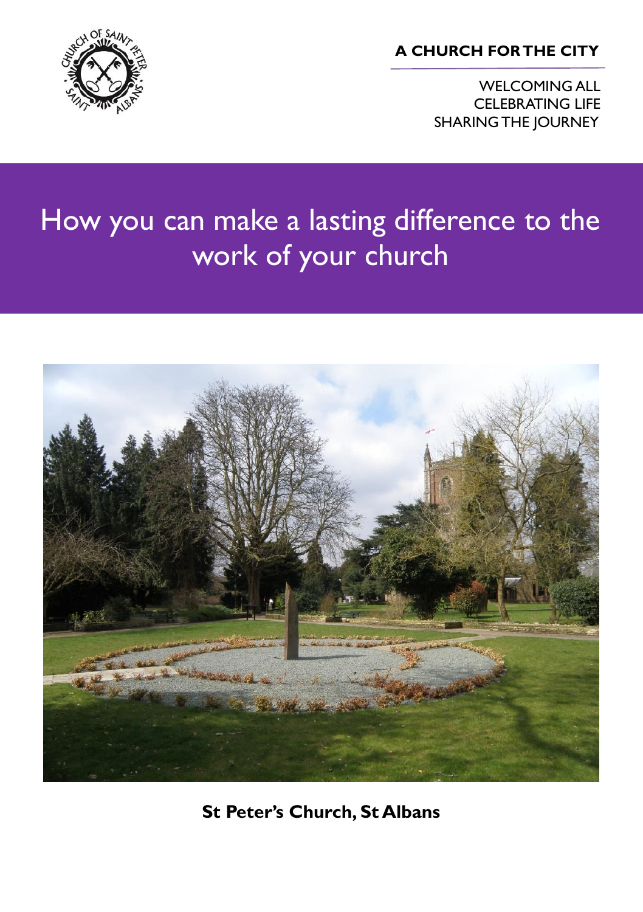**A CHURCH FOR THE CITY**

WELCOMING ALL CELEBRATING LIFE SHARING THE JOURNEY



# How you can make a lasting difference to the work of your church



**St Peter's Church, St Albans**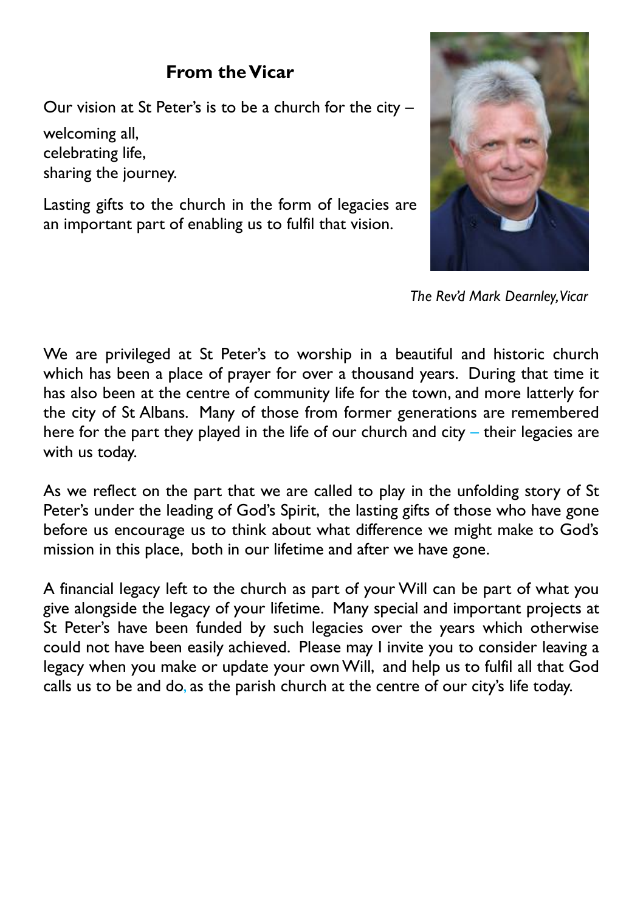### **From the Vicar**

Our vision at St Peter's is to be a church for the city –

welcoming all, celebrating life, sharing the journey.

Lasting gifts to the church in the form of legacies are an important part of enabling us to fulfil that vision.



 *The Rev'd Mark Dearnley, Vicar*

We are privileged at St Peter's to worship in a beautiful and historic church which has been a place of prayer for over a thousand years. During that time it has also been at the centre of community life for the town, and more latterly for the city of St Albans. Many of those from former generations are remembered here for the part they played in the life of our church and city – their legacies are with us today.

As we reflect on the part that we are called to play in the unfolding story of St Peter's under the leading of God's Spirit, the lasting gifts of those who have gone before us encourage us to think about what difference we might make to God's mission in this place, both in our lifetime and after we have gone.

A financial legacy left to the church as part of your Will can be part of what you give alongside the legacy of your lifetime. Many special and important projects at St Peter's have been funded by such legacies over the years which otherwise could not have been easily achieved. Please may I invite you to consider leaving a legacy when you make or update your own Will, and help us to fulfil all that God calls us to be and do, as the parish church at the centre of our city's life today.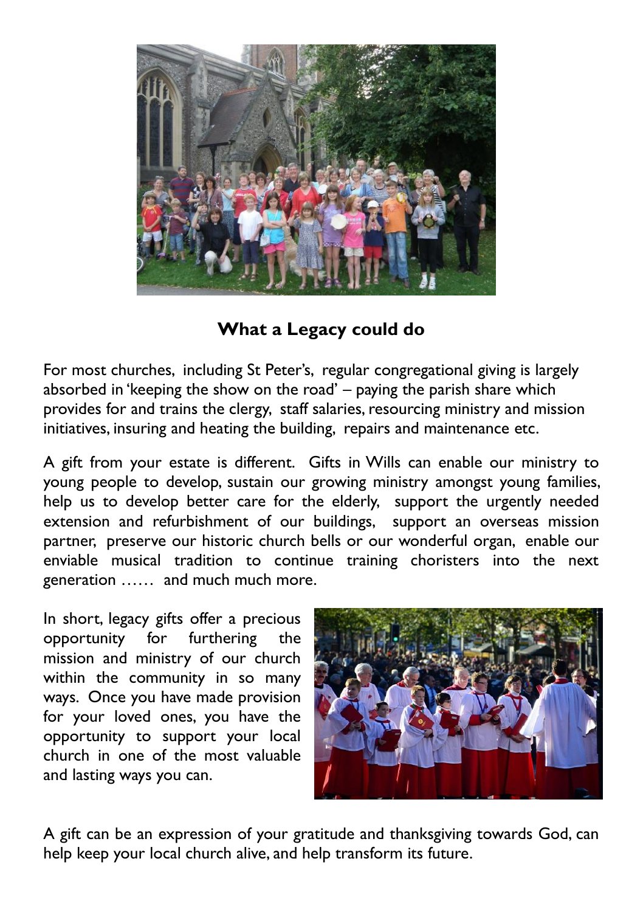

**What a Legacy could do**

For most churches, including St Peter's, regular congregational giving is largely absorbed in 'keeping the show on the road' – paying the parish share which provides for and trains the clergy, staff salaries, resourcing ministry and mission initiatives, insuring and heating the building, repairs and maintenance etc.

A gift from your estate is different. Gifts in Wills can enable our ministry to young people to develop, sustain our growing ministry amongst young families, help us to develop better care for the elderly, support the urgently needed extension and refurbishment of our buildings, support an overseas mission partner, preserve our historic church bells or our wonderful organ, enable our enviable musical tradition to continue training choristers into the next generation …… and much much more.

In short, legacy gifts offer a precious opportunity for furthering the mission and ministry of our church within the community in so many ways. Once you have made provision for your loved ones, you have the opportunity to support your local church in one of the most valuable and lasting ways you can.



A gift can be an expression of your gratitude and thanksgiving towards God, can help keep your local church alive, and help transform its future.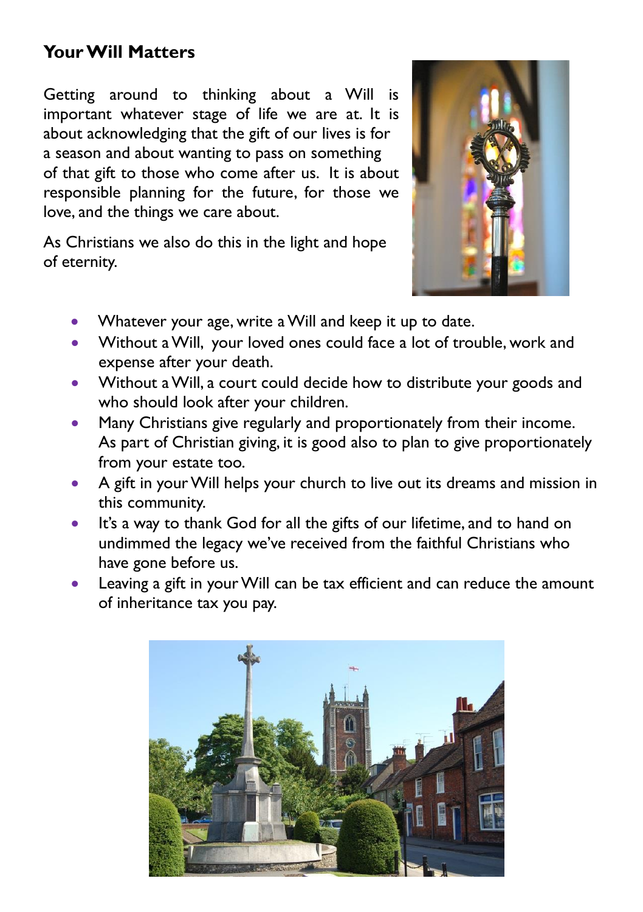## **Your Will Matters**

Getting around to thinking about a Will is important whatever stage of life we are at. It is about acknowledging that the gift of our lives is for a season and about wanting to pass on something of that gift to those who come after us. It is about responsible planning for the future, for those we love, and the things we care about.

As Christians we also do this in the light and hope of eternity.



- Whatever your age, write a Will and keep it up to date.
- Without a Will, your loved ones could face a lot of trouble, work and expense after your death.
- Without a Will, a court could decide how to distribute your goods and who should look after your children.
- Many Christians give regularly and proportionately from their income. As part of Christian giving, it is good also to plan to give proportionately from your estate too.
- A gift in your Will helps your church to live out its dreams and mission in this community.
- It's a way to thank God for all the gifts of our lifetime, and to hand on undimmed the legacy we've received from the faithful Christians who have gone before us.
- Leaving a gift in your Will can be tax efficient and can reduce the amount of inheritance tax you pay.

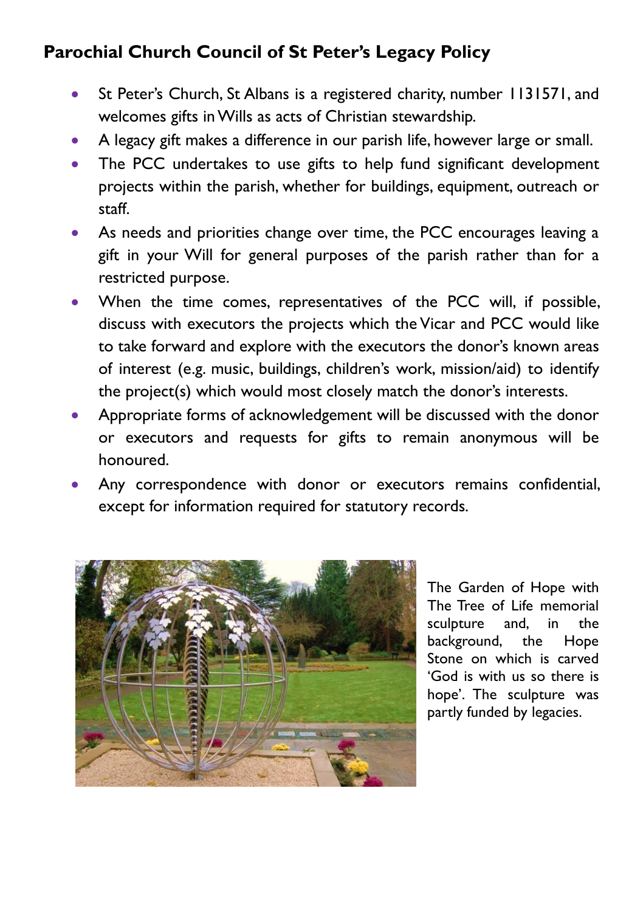# **Parochial Church Council of St Peter's Legacy Policy**

- St Peter's Church, St Albans is a registered charity, number 1131571, and welcomes gifts in Wills as acts of Christian stewardship.
- A legacy gift makes a difference in our parish life, however large or small.
- The PCC undertakes to use gifts to help fund significant development projects within the parish, whether for buildings, equipment, outreach or staff.
- As needs and priorities change over time, the PCC encourages leaving a gift in your Will for general purposes of the parish rather than for a restricted purpose.
- When the time comes, representatives of the PCC will, if possible, discuss with executors the projects which the Vicar and PCC would like to take forward and explore with the executors the donor's known areas of interest (e.g. music, buildings, children's work, mission/aid) to identify the project(s) which would most closely match the donor's interests.
- Appropriate forms of acknowledgement will be discussed with the donor or executors and requests for gifts to remain anonymous will be honoured.
- Any correspondence with donor or executors remains confidential, except for information required for statutory records.



The Garden of Hope with The Tree of Life memorial sculpture and, in the background, the Hope Stone on which is carved 'God is with us so there is hope'. The sculpture was partly funded by legacies.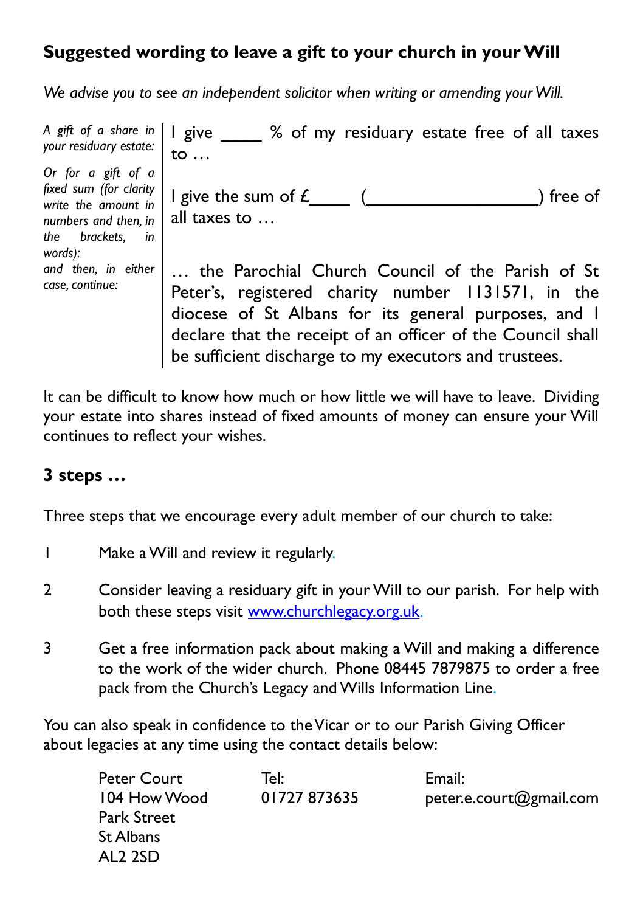# **Suggested wording to leave a gift to your church in your Will**

*We advise you to see an independent solicitor when writing or amending your Will.*

| A gift of a share in $ $   give $\overline{\phantom{a}}$<br>your residuary estate:                                            | % of my residuary estate free of all taxes<br>to $\ldots$                                                                                                                                                                                                                              |
|-------------------------------------------------------------------------------------------------------------------------------|----------------------------------------------------------------------------------------------------------------------------------------------------------------------------------------------------------------------------------------------------------------------------------------|
| Or for a gift of a<br>fixed sum (for clarity<br>write the amount in<br>numbers and then, in<br>the brackets.<br>in<br>words): | I give the sum of $f_{\perp}$<br>) free of<br>all taxes to $\dots$                                                                                                                                                                                                                     |
| and then, in either<br>case, continue:                                                                                        | the Parochial Church Council of the Parish of St<br>Peter's, registered charity number 1131571, in the<br>diocese of St Albans for its general purposes, and I<br>declare that the receipt of an officer of the Council shall<br>be sufficient discharge to my executors and trustees. |

It can be difficult to know how much or how little we will have to leave. Dividing your estate into shares instead of fixed amounts of money can ensure your Will continues to reflect your wishes.

## **3 steps …**

Three steps that we encourage every adult member of our church to take:

- 1 Make a Will and review it regularly.
- 2 Consider leaving a residuary gift in your Will to our parish. For help with both these steps visit [www.churchlegacy.org.uk](http://www.churchlegacy.org.uk/).
- 3 Get a free information pack about making a Will and making a difference to the work of the wider church. Phone 08445 7879875 to order a free pack from the Church's Legacy and Wills Information Line.

You can also speak in confidence to the Vicar or to our Parish Giving Officer about legacies at any time using the contact details below:

| Peter Court  | Tel:         | Email:                  |
|--------------|--------------|-------------------------|
| 104 How Wood | 01727 873635 | peter.e.court@gmail.com |
| Park Street  |              |                         |
| St Albans    |              |                         |
| AL2 2SD      |              |                         |
|              |              |                         |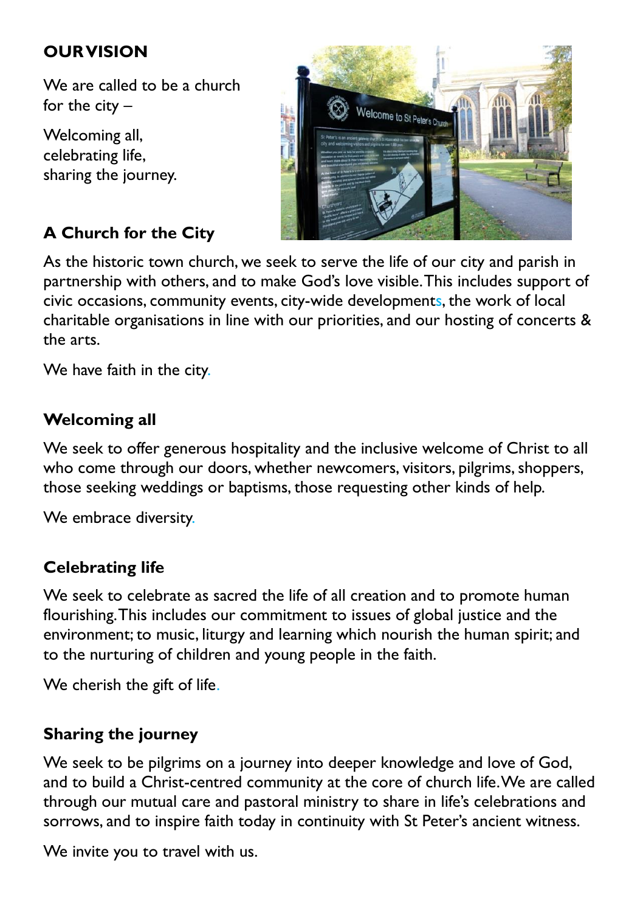## **OUR VISION**

We are called to be a church for the city –

Welcoming all, celebrating life, sharing the journey.



# **A Church for the City**

As the historic town church, we seek to serve the life of our city and parish in partnership with others, and to make God's love visible. This includes support of civic occasions, community events, city-wide developments, the work of local charitable organisations in line with our priorities, and our hosting of concerts & the arts.

We have faith in the city.

### **Welcoming all**

We seek to offer generous hospitality and the inclusive welcome of Christ to all who come through our doors, whether newcomers, visitors, pilgrims, shoppers, those seeking weddings or baptisms, those requesting other kinds of help.

We embrace diversity.

#### **Celebrating life**

We seek to celebrate as sacred the life of all creation and to promote human flourishing. This includes our commitment to issues of global justice and the environment; to music, liturgy and learning which nourish the human spirit; and to the nurturing of children and young people in the faith.

We cherish the gift of life.

#### **Sharing the journey**

We seek to be pilgrims on a journey into deeper knowledge and love of God, and to build a Christ-centred community at the core of church life.We are called through our mutual care and pastoral ministry to share in life's celebrations and sorrows, and to inspire faith today in continuity with St Peter's ancient witness.

We invite you to travel with us.